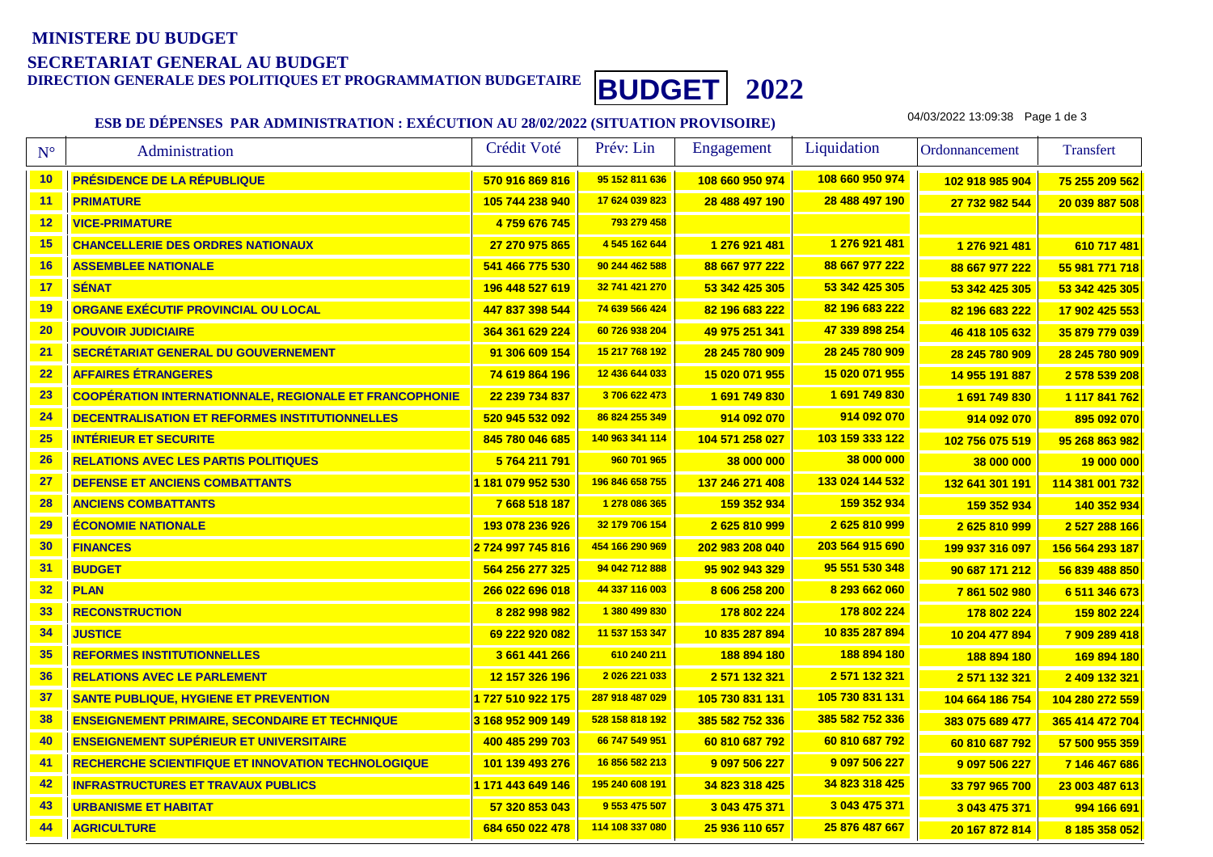# **MINISTERE DU BUDGETSECRETARIAT GENERAL AU BUDGET**

**DIRECTION GENERALE DES POLITIQUES ET PROGRAMMATION BUDGETAIRE BUDGET <sup>2022</sup>**

### **ESB DE DÉPENSES PAR ADMINISTRATION : EXÉCUTION AU 28/02/2022 (SITUATION PROVISOIRE)**

04/03/2022 13:09:38 Page 1 de 3

| $\mathbf{N}^{\circ}$ | Administration                                                | Crédit Voté       | Prév: Lin       | Engagement      | Liquidation     | Ordonnancement  | <b>Transfert</b> |
|----------------------|---------------------------------------------------------------|-------------------|-----------------|-----------------|-----------------|-----------------|------------------|
| 10                   | PRÉSIDENCE DE LA RÉPUBLIQUE                                   | 570 916 869 816   | 95 152 811 636  | 108 660 950 974 | 108 660 950 974 | 102 918 985 904 | 75 255 209 562   |
| 11                   | <b>PRIMATURE</b>                                              | 105 744 238 940   | 17 624 039 823  | 28 488 497 190  | 28 488 497 190  | 27 732 982 544  | 20 039 887 508   |
| 12                   | <b>VICE-PRIMATURE</b>                                         | 4759 676 745      | 793 279 458     |                 |                 |                 |                  |
| 15                   | <b>CHANCELLERIE DES ORDRES NATIONAUX</b>                      | 27 270 975 865    | 4 545 162 644   | 1 276 921 481   | 1 276 921 481   | 1 276 921 481   | 610 717 481      |
| 16                   | <b>ASSEMBLEE NATIONALE</b>                                    | 541 466 775 530   | 90 244 462 588  | 88 667 977 222  | 88 667 977 222  | 88 667 977 222  | 55 981 771 718   |
| 17                   | <b>SÉNAT</b>                                                  | 196 448 527 619   | 32 741 421 270  | 53 342 425 305  | 53 342 425 305  | 53 342 425 305  | 53 342 425 305   |
| 19                   | ORGANE EXÉCUTIF PROVINCIAL OU LOCAL                           | 447 837 398 544   | 74 639 566 424  | 82 196 683 222  | 82 196 683 222  | 82 196 683 222  | 17 902 425 553   |
| 20                   | <b>POUVOIR JUDICIAIRE</b>                                     | 364 361 629 224   | 60 726 938 204  | 49 975 251 341  | 47 339 898 254  | 46 418 105 632  | 35 879 779 039   |
| 21                   | SECRÉTARIAT GENERAL DU GOUVERNEMENT                           | 91 306 609 154    | 15 217 768 192  | 28 245 780 909  | 28 245 780 909  | 28 245 780 909  | 28 245 780 909   |
| 22                   | <b>AFFAIRES ÉTRANGERES</b>                                    | 74 619 864 196    | 12 436 644 033  | 15 020 071 955  | 15 020 071 955  | 14 955 191 887  | 2 578 539 208    |
| 23                   | <b>COOPÉRATION INTERNATIONNALE, REGIONALE ET FRANCOPHONIE</b> | 22 239 734 837    | 3706 622 473    | 1691749830      | 1691749830      | 1691749830      | 1 117 841 762    |
| 24                   | DECENTRALISATION ET REFORMES INSTITUTIONNELLES                | 520 945 532 092   | 86 824 255 349  | 914 092 070     | 914 092 070     | 914 092 070     | 895 092 070      |
| 25                   | <b>INTÉRIEUR ET SECURITE</b>                                  | 845 780 046 685   | 140 963 341 114 | 104 571 258 027 | 103 159 333 122 | 102 756 075 519 | 95 268 863 982   |
| 26                   | <b>RELATIONS AVEC LES PARTIS POLITIQUES</b>                   | 5 764 211 791     | 960 701 965     | 38 000 000      | 38 000 000      | 38 000 000      | 19 000 000       |
| 27                   | <b>DEFENSE ET ANCIENS COMBATTANTS</b>                         | 1 181 079 952 530 | 196 846 658 755 | 137 246 271 408 | 133 024 144 532 | 132 641 301 191 | 114 381 001 732  |
| 28                   | <b>ANCIENS COMBATTANTS</b>                                    | 7 668 518 187     | 1 278 086 365   | 159 352 934     | 159 352 934     | 159 352 934     | 140 352 934      |
| 29                   | <b>ÉCONOMIE NATIONALE</b>                                     | 193 078 236 926   | 32 179 706 154  | 2625810999      | 2625810999      | 2625810999      | 2 527 288 166    |
| 30                   | <b>FINANCES</b>                                               | 2724 997 745 816  | 454 166 290 969 | 202 983 208 040 | 203 564 915 690 | 199 937 316 097 | 156 564 293 187  |
| 31                   | <b>BUDGET</b>                                                 | 564 256 277 325   | 94 042 712 888  | 95 902 943 329  | 95 551 530 348  | 90 687 171 212  | 56 839 488 850   |
| 32                   | <b>PLAN</b>                                                   | 266 022 696 018   | 44 337 116 003  | 8 606 258 200   | 8 293 662 060   | 7861502980      | 6 511 346 673    |
| 33                   | <b>RECONSTRUCTION</b>                                         | 8 282 998 982     | 1 380 499 830   | 178 802 224     | 178 802 224     | 178 802 224     | 159 802 224      |
| 34                   | <b>JUSTICE</b>                                                | 69 222 920 082    | 11 537 153 347  | 10 835 287 894  | 10 835 287 894  | 10 204 477 894  | 7 909 289 418    |
| 35                   | <b>REFORMES INSTITUTIONNELLES</b>                             | 3 661 441 266     | 610 240 211     | 188 894 180     | 188 894 180     | 188 894 180     | 169 894 180      |
| 36                   | <b>RELATIONS AVEC LE PARLEMENT</b>                            | 12 157 326 196    | 2 026 221 033   | 2 571 132 321   | 2 571 132 321   | 2 571 132 321   | 2 409 132 321    |
| 37                   | <b>SANTE PUBLIQUE, HYGIENE ET PREVENTION</b>                  | 1727 510 922 175  | 287 918 487 029 | 105 730 831 131 | 105 730 831 131 | 104 664 186 754 | 104 280 272 559  |
| 38                   | <b>ENSEIGNEMENT PRIMAIRE, SECONDAIRE ET TECHNIQUE</b>         | 3 168 952 909 149 | 528 158 818 192 | 385 582 752 336 | 385 582 752 336 | 383 075 689 477 | 365 414 472 704  |
| 40                   | <b>ENSEIGNEMENT SUPÉRIEUR ET UNIVERSITAIRE</b>                | 400 485 299 703   | 66 747 549 951  | 60 810 687 792  | 60 810 687 792  | 60 810 687 792  | 57 500 955 359   |
| 41                   | <b>RECHERCHE SCIENTIFIQUE ET INNOVATION TECHNOLOGIQUE</b>     | 101 139 493 276   | 16 856 582 213  | 9 097 506 227   | 9 097 506 227   | 9 097 506 227   | 7 146 467 686    |
| 42                   | <b>INFRASTRUCTURES ET TRAVAUX PUBLICS</b>                     | 1 171 443 649 146 | 195 240 608 191 | 34 823 318 425  | 34 823 318 425  | 33 797 965 700  | 23 003 487 613   |
| 43                   | <b>URBANISME ET HABITAT</b>                                   | 57 320 853 043    | 9 553 475 507   | 3 043 475 371   | 3 043 475 371   | 3 043 475 371   | 994 166 691      |
| 44                   | <b>AGRICULTURE</b>                                            | 684 650 022 478   | 114 108 337 080 | 25 936 110 657  | 25 876 487 667  | 20 167 872 814  | 8 185 358 052    |
|                      |                                                               |                   |                 |                 |                 |                 |                  |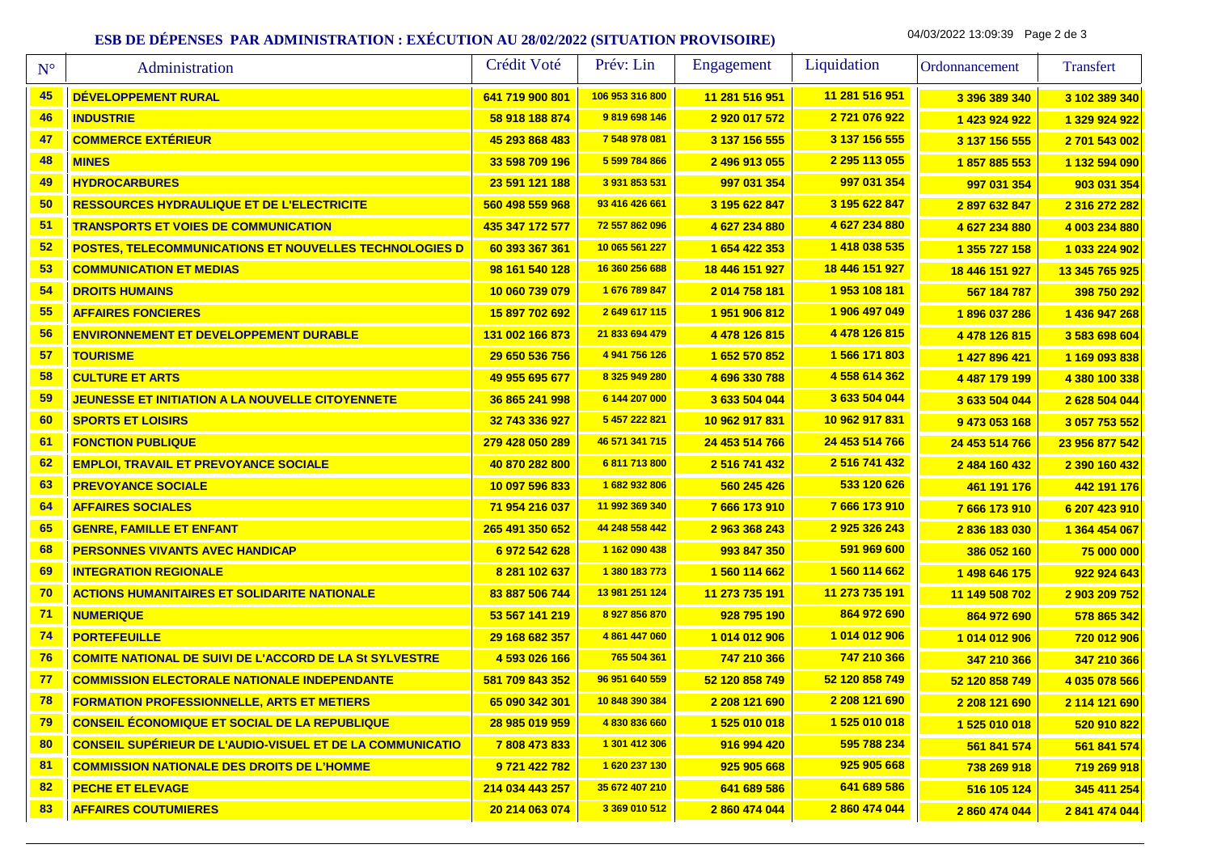## **ESB DE DÉPENSES PAR ADMINISTRATION : EXÉCUTION AU 28/02/2022 (SITUATION PROVISOIRE)**

04/03/2022 13:09:39 Page 2 de 3

| $N^{\circ}$ | Administration                                                   | Crédit Voté     | Prév: Lin       | Engagement     | Liquidation    | Ordonnancement | Transfert      |
|-------------|------------------------------------------------------------------|-----------------|-----------------|----------------|----------------|----------------|----------------|
| 45          | DÉVELOPPEMENT RURAL                                              | 641 719 900 801 | 106 953 316 800 | 11 281 516 951 | 11 281 516 951 | 3 396 389 340  | 3 102 389 340  |
| 46          | <b>INDUSTRIE</b>                                                 | 58 918 188 874  | 9819698146      | 2 920 017 572  | 2 721 076 922  | 1 423 924 922  | 1 329 924 922  |
| 47          | <b>COMMERCE EXTÉRIEUR</b>                                        | 45 293 868 483  | 7 548 978 081   | 3 137 156 555  | 3 137 156 555  | 3 137 156 555  | 2 701 543 002  |
| 48          | <b>MINES</b>                                                     | 33 598 709 196  | 5 599 784 866   | 2 496 913 055  | 2 295 113 055  | 1857885553     | 1 132 594 090  |
| 49          | <b>HYDROCARBURES</b>                                             | 23 591 121 188  | 3 931 853 531   | 997 031 354    | 997 031 354    | 997 031 354    | 903 031 354    |
| 50          | <b>RESSOURCES HYDRAULIQUE ET DE L'ELECTRICITE</b>                | 560 498 559 968 | 93 416 426 661  | 3 195 622 847  | 3 195 622 847  | 2897632847     | 2 316 272 282  |
| 51          | <b>TRANSPORTS ET VOIES DE COMMUNICATION</b>                      | 435 347 172 577 | 72 557 862 096  | 4 627 234 880  | 4 627 234 880  | 4 627 234 880  | 4 003 234 880  |
| 52          | POSTES, TELECOMMUNICATIONS ET NOUVELLES TECHNOLOGIES D           | 60 393 367 361  | 10 065 561 227  | 1 654 422 353  | 1418 038 535   | 1 355 727 158  | 1 033 224 902  |
| 53          | <b>COMMUNICATION ET MEDIAS</b>                                   | 98 161 540 128  | 16 360 256 688  | 18 446 151 927 | 18 446 151 927 | 18 446 151 927 | 13 345 765 925 |
| 54          | <b>DROITS HUMAINS</b>                                            | 10 060 739 079  | 1676 789 847    | 2 014 758 181  | 1953 108 181   | 567 184 787    | 398 750 292    |
| 55          | <b>AFFAIRES FONCIERES</b>                                        | 15 897 702 692  | 2649617115      | 1951906812     | 1 906 497 049  | 1896 037 286   | 1 436 947 268  |
| 56          | <b>ENVIRONNEMENT ET DEVELOPPEMENT DURABLE</b>                    | 131 002 166 873 | 21 833 694 479  | 4 478 126 815  | 4 478 126 815  | 4 478 126 815  | 3 583 698 604  |
| 57          | <b>TOURISME</b>                                                  | 29 650 536 756  | 4 941 756 126   | 1 652 570 852  | 1 566 171 803  | 1 427 896 421  | 1 169 093 838  |
| 58          | <b>CULTURE ET ARTS</b>                                           | 49 955 695 677  | 8 325 949 280   | 4 696 330 788  | 4 558 614 362  | 4 487 179 199  | 4 380 100 338  |
| 59          | JEUNESSE ET INITIATION A LA NOUVELLE CITOYENNETE                 | 36 865 241 998  | 6 144 207 000   | 3 633 504 044  | 3 633 504 044  | 3 633 504 044  | 2 628 504 044  |
| 60          | <b>SPORTS ET LOISIRS</b>                                         | 32 743 336 927  | 5 457 222 821   | 10 962 917 831 | 10 962 917 831 | 9 473 053 168  | 3 057 753 552  |
| 61          | <b>FONCTION PUBLIQUE</b>                                         | 279 428 050 289 | 46 571 341 715  | 24 453 514 766 | 24 453 514 766 | 24 453 514 766 | 23 956 877 542 |
| 62          | <b>EMPLOI, TRAVAIL ET PREVOYANCE SOCIALE</b>                     | 40 870 282 800  | 6811713800      | 2 516 741 432  | 2 516 741 432  | 2 484 160 432  | 2 390 160 432  |
| 63          | <b>PREVOYANCE SOCIALE</b>                                        | 10 097 596 833  | 1682932806      | 560 245 426    | 533 120 626    | 461 191 176    | 442 191 176    |
| 64          | <b>AFFAIRES SOCIALES</b>                                         | 71 954 216 037  | 11 992 369 340  | 7 666 173 910  | 7666173910     | 7666173910     | 6 207 423 910  |
| 65          | <b>GENRE, FAMILLE ET ENFANT</b>                                  | 265 491 350 652 | 44 248 558 442  | 2 963 368 243  | 2925326243     | 2836183030     | 1 364 454 067  |
| 68          | <b>PERSONNES VIVANTS AVEC HANDICAP</b>                           | 6 972 542 628   | 1 162 090 438   | 993 847 350    | 591 969 600    | 386 052 160    | 75 000 000     |
| 69          | <b>INTEGRATION REGIONALE</b>                                     | 8 281 102 637   | 1 380 183 773   | 1 560 114 662  | 1 560 114 662  | 1 498 646 175  | 922 924 643    |
| 70          | <b>ACTIONS HUMANITAIRES ET SOLIDARITE NATIONALE</b>              | 83 887 506 744  | 13 981 251 124  | 11 273 735 191 | 11 273 735 191 | 11 149 508 702 | 2 903 209 752  |
| 71          | <b>NUMERIQUE</b>                                                 | 53 567 141 219  | 8 927 856 870   | 928 795 190    | 864 972 690    | 864 972 690    | 578 865 342    |
| 74          | <b>PORTEFEUILLE</b>                                              | 29 168 682 357  | 4 861 447 060   | 1 014 012 906  | 1 014 012 906  | 1 014 012 906  | 720 012 906    |
| 76          | <b>COMITE NATIONAL DE SUIVI DE L'ACCORD DE LA St SYLVESTRE</b>   | 4 593 026 166   | 765 504 361     | 747 210 366    | 747 210 366    | 347 210 366    | 347 210 366    |
| 77          | <b>COMMISSION ELECTORALE NATIONALE INDEPENDANTE</b>              | 581 709 843 352 | 96 951 640 559  | 52 120 858 749 | 52 120 858 749 | 52 120 858 749 | 4 035 078 566  |
| 78          | <b>FORMATION PROFESSIONNELLE, ARTS ET METIERS</b>                | 65 090 342 301  | 10 848 390 384  | 2 208 121 690  | 2 208 121 690  | 2 208 121 690  | 2 114 121 690  |
| 79          | <b>CONSEIL ÉCONOMIQUE ET SOCIAL DE LA REPUBLIQUE</b>             | 28 985 019 959  | 4830836660      | 1 525 010 018  | 1 525 010 018  | 1 525 010 018  | 520 910 822    |
| 80          | <b>CONSEIL SUPÉRIEUR DE L'AUDIO-VISUEL ET DE LA COMMUNICATIO</b> | 7808473833      | 1 301 412 306   | 916 994 420    | 595 788 234    | 561 841 574    | 561 841 574    |
| 81          | <b>COMMISSION NATIONALE DES DROITS DE L'HOMME</b>                | 9 721 422 782   | 1620 237 130    | 925 905 668    | 925 905 668    | 738 269 918    | 719 269 918    |
| 82          | <b>PECHE ET ELEVAGE</b>                                          | 214 034 443 257 | 35 672 407 210  | 641 689 586    | 641 689 586    | 516 105 124    | 345 411 254    |
| 83          | <b>AFFAIRES COUTUMIERES</b>                                      | 20 214 063 074  | 3 369 010 512   | 2 860 474 044  | 2 860 474 044  | 2 860 474 044  | 2 841 474 044  |